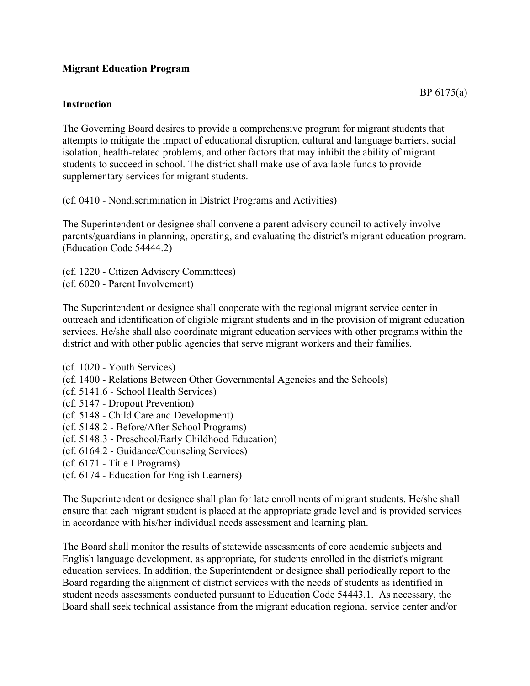## **Migrant Education Program**

## **Instruction**

The Governing Board desires to provide a comprehensive program for migrant students that attempts to mitigate the impact of educational disruption, cultural and language barriers, social isolation, health-related problems, and other factors that may inhibit the ability of migrant students to succeed in school. The district shall make use of available funds to provide supplementary services for migrant students.

(cf. 0410 - Nondiscrimination in District Programs and Activities)

The Superintendent or designee shall convene a parent advisory council to actively involve parents/guardians in planning, operating, and evaluating the district's migrant education program. (Education Code 54444.2)

(cf. 1220 - Citizen Advisory Committees) (cf. 6020 - Parent Involvement)

The Superintendent or designee shall cooperate with the regional migrant service center in outreach and identification of eligible migrant students and in the provision of migrant education services. He/she shall also coordinate migrant education services with other programs within the district and with other public agencies that serve migrant workers and their families.

(cf. 1020 - Youth Services) (cf. 1400 - Relations Between Other Governmental Agencies and the Schools) (cf. 5141.6 - School Health Services) (cf. 5147 - Dropout Prevention) (cf. 5148 - Child Care and Development) (cf. 5148.2 - Before/After School Programs) (cf. 5148.3 - Preschool/Early Childhood Education) (cf. 6164.2 - Guidance/Counseling Services) (cf. 6171 - Title I Programs) (cf. 6174 - Education for English Learners)

The Superintendent or designee shall plan for late enrollments of migrant students. He/she shall ensure that each migrant student is placed at the appropriate grade level and is provided services in accordance with his/her individual needs assessment and learning plan.

The Board shall monitor the results of statewide assessments of core academic subjects and English language development, as appropriate, for students enrolled in the district's migrant education services. In addition, the Superintendent or designee shall periodically report to the Board regarding the alignment of district services with the needs of students as identified in student needs assessments conducted pursuant to Education Code 54443.1. As necessary, the Board shall seek technical assistance from the migrant education regional service center and/or